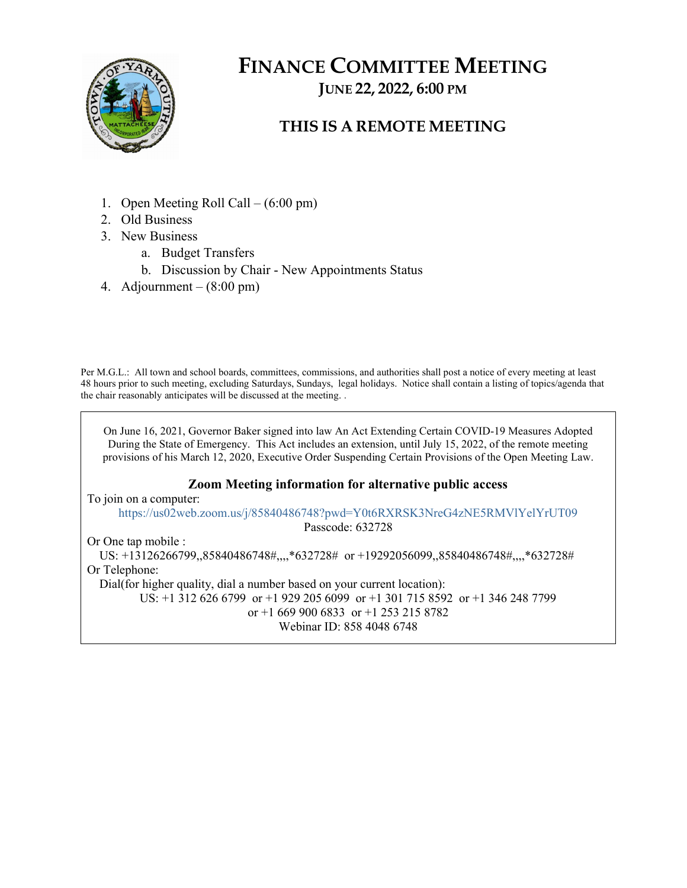

# FINANCE COMMITTEE MEETING JUNE 22, 2022, 6:00 PM

## THIS IS A REMOTE MEETING

- 1. Open Meeting Roll Call (6:00 pm)
- 2. Old Business
- 3. New Business
	- a. Budget Transfers
	- b. Discussion by Chair New Appointments Status
- 4. Adjournment  $(8:00 \text{ pm})$

Per M.G.L.: All town and school boards, committees, commissions, and authorities shall post a notice of every meeting at least 48 hours prior to such meeting, excluding Saturdays, Sundays, legal holidays. Notice shall contain a listing of topics/agenda that the chair reasonably anticipates will be discussed at the meeting. .

On June 16, 2021, Governor Baker signed into law An Act Extending Certain COVID-19 Measures Adopted During the State of Emergency. This Act includes an extension, until July 15, 2022, of the remote meeting provisions of his March 12, 2020, Executive Order Suspending Certain Provisions of the Open Meeting Law. Zoom Meeting information for alternative public access To join on a computer: https://us02web.zoom.us/j/85840486748?pwd=Y0t6RXRSK3NreG4zNE5RMVlYelYrUT09 Passcode: 632728 Or One tap mobile : US: +13126266799,,85840486748#,,,,\*632728# or +19292056099,,85840486748#,,,,\*632728#

Or Telephone: Dial(for higher quality, dial a number based on your current location): US: +1 312 626 6799 or +1 929 205 6099 or +1 301 715 8592 or +1 346 248 7799 or +1 669 900 6833 or +1 253 215 8782 Webinar ID: 858 4048 6748